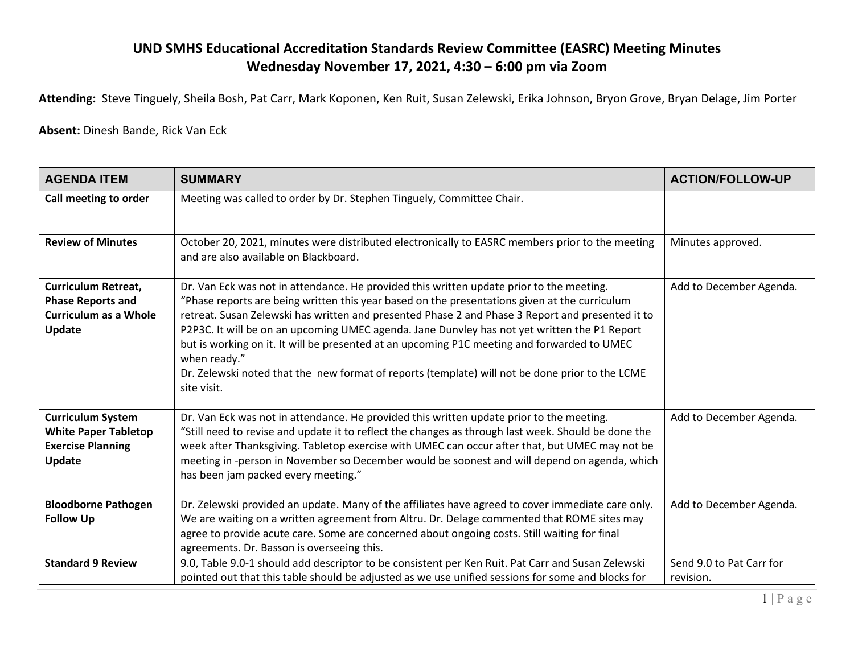## **UND SMHS Educational Accreditation Standards Review Committee (EASRC) Meeting Minutes Wednesday November 17, 2021, 4:30 – 6:00 pm via Zoom**

**Attending:** Steve Tinguely, Sheila Bosh, Pat Carr, Mark Koponen, Ken Ruit, Susan Zelewski, Erika Johnson, Bryon Grove, Bryan Delage, Jim Porter

**Absent:** Dinesh Bande, Rick Van Eck

| <b>AGENDA ITEM</b>                                                                                      | <b>SUMMARY</b>                                                                                                                                                                                                                                                                                                                                                                                                                                                                                                                                                                                                                 | <b>ACTION/FOLLOW-UP</b>               |
|---------------------------------------------------------------------------------------------------------|--------------------------------------------------------------------------------------------------------------------------------------------------------------------------------------------------------------------------------------------------------------------------------------------------------------------------------------------------------------------------------------------------------------------------------------------------------------------------------------------------------------------------------------------------------------------------------------------------------------------------------|---------------------------------------|
| Call meeting to order                                                                                   | Meeting was called to order by Dr. Stephen Tinguely, Committee Chair.                                                                                                                                                                                                                                                                                                                                                                                                                                                                                                                                                          |                                       |
| <b>Review of Minutes</b>                                                                                | October 20, 2021, minutes were distributed electronically to EASRC members prior to the meeting<br>and are also available on Blackboard.                                                                                                                                                                                                                                                                                                                                                                                                                                                                                       | Minutes approved.                     |
| <b>Curriculum Retreat,</b><br><b>Phase Reports and</b><br><b>Curriculum as a Whole</b><br><b>Update</b> | Dr. Van Eck was not in attendance. He provided this written update prior to the meeting.<br>"Phase reports are being written this year based on the presentations given at the curriculum<br>retreat. Susan Zelewski has written and presented Phase 2 and Phase 3 Report and presented it to<br>P2P3C. It will be on an upcoming UMEC agenda. Jane Dunvley has not yet written the P1 Report<br>but is working on it. It will be presented at an upcoming P1C meeting and forwarded to UMEC<br>when ready."<br>Dr. Zelewski noted that the new format of reports (template) will not be done prior to the LCME<br>site visit. | Add to December Agenda.               |
| <b>Curriculum System</b><br><b>White Paper Tabletop</b><br><b>Exercise Planning</b><br><b>Update</b>    | Dr. Van Eck was not in attendance. He provided this written update prior to the meeting.<br>"Still need to revise and update it to reflect the changes as through last week. Should be done the<br>week after Thanksgiving. Tabletop exercise with UMEC can occur after that, but UMEC may not be<br>meeting in -person in November so December would be soonest and will depend on agenda, which<br>has been jam packed every meeting."                                                                                                                                                                                       | Add to December Agenda.               |
| <b>Bloodborne Pathogen</b><br><b>Follow Up</b>                                                          | Dr. Zelewski provided an update. Many of the affiliates have agreed to cover immediate care only.<br>We are waiting on a written agreement from Altru. Dr. Delage commented that ROME sites may<br>agree to provide acute care. Some are concerned about ongoing costs. Still waiting for final<br>agreements. Dr. Basson is overseeing this.                                                                                                                                                                                                                                                                                  | Add to December Agenda.               |
| <b>Standard 9 Review</b>                                                                                | 9.0, Table 9.0-1 should add descriptor to be consistent per Ken Ruit. Pat Carr and Susan Zelewski<br>pointed out that this table should be adjusted as we use unified sessions for some and blocks for                                                                                                                                                                                                                                                                                                                                                                                                                         | Send 9.0 to Pat Carr for<br>revision. |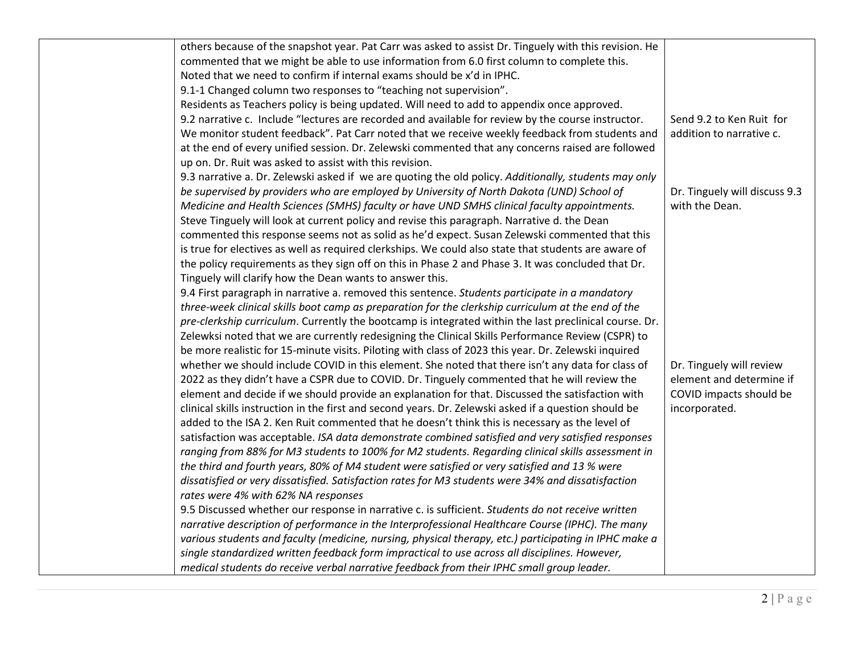| others because of the snapshot year. Pat Carr was asked to assist Dr. Tinguely with this revision. He  |                               |
|--------------------------------------------------------------------------------------------------------|-------------------------------|
| commented that we might be able to use information from 6.0 first column to complete this.             |                               |
| Noted that we need to confirm if internal exams should be x'd in IPHC.                                 |                               |
| 9.1-1 Changed column two responses to "teaching not supervision".                                      |                               |
| Residents as Teachers policy is being updated. Will need to add to appendix once approved.             |                               |
| 9.2 narrative c. Include "lectures are recorded and available for review by the course instructor.     | Send 9.2 to Ken Ruit for      |
| We monitor student feedback". Pat Carr noted that we receive weekly feedback from students and         | addition to narrative c.      |
| at the end of every unified session. Dr. Zelewski commented that any concerns raised are followed      |                               |
| up on. Dr. Ruit was asked to assist with this revision.                                                |                               |
| 9.3 narrative a. Dr. Zelewski asked if we are quoting the old policy. Additionally, students may only  |                               |
| be supervised by providers who are employed by University of North Dakota (UND) School of              | Dr. Tinguely will discuss 9.3 |
| Medicine and Health Sciences (SMHS) faculty or have UND SMHS clinical faculty appointments.            | with the Dean.                |
| Steve Tinguely will look at current policy and revise this paragraph. Narrative d. the Dean            |                               |
| commented this response seems not as solid as he'd expect. Susan Zelewski commented that this          |                               |
| is true for electives as well as required clerkships. We could also state that students are aware of   |                               |
| the policy requirements as they sign off on this in Phase 2 and Phase 3. It was concluded that Dr.     |                               |
| Tinguely will clarify how the Dean wants to answer this.                                               |                               |
| 9.4 First paragraph in narrative a. removed this sentence. Students participate in a mandatory         |                               |
| three-week clinical skills boot camp as preparation for the clerkship curriculum at the end of the     |                               |
| pre-clerkship curriculum. Currently the bootcamp is integrated within the last preclinical course. Dr. |                               |
| Zelewksi noted that we are currently redesigning the Clinical Skills Performance Review (CSPR) to      |                               |
| be more realistic for 15-minute visits. Piloting with class of 2023 this year. Dr. Zelewski inquired   |                               |
| whether we should include COVID in this element. She noted that there isn't any data for class of      | Dr. Tinguely will review      |
| 2022 as they didn't have a CSPR due to COVID. Dr. Tinguely commented that he will review the           | element and determine if      |
| element and decide if we should provide an explanation for that. Discussed the satisfaction with       | COVID impacts should be       |
| clinical skills instruction in the first and second years. Dr. Zelewski asked if a question should be  | incorporated.                 |
| added to the ISA 2. Ken Ruit commented that he doesn't think this is necessary as the level of         |                               |
| satisfaction was acceptable. ISA data demonstrate combined satisfied and very satisfied responses      |                               |
| ranging from 88% for M3 students to 100% for M2 students. Regarding clinical skills assessment in      |                               |
| the third and fourth years, 80% of M4 student were satisfied or very satisfied and 13 % were           |                               |
| dissatisfied or very dissatisfied. Satisfaction rates for M3 students were 34% and dissatisfaction     |                               |
| rates were 4% with 62% NA responses                                                                    |                               |
| 9.5 Discussed whether our response in narrative c. is sufficient. Students do not receive written      |                               |
| narrative description of performance in the Interprofessional Healthcare Course (IPHC). The many       |                               |
| various students and faculty (medicine, nursing, physical therapy, etc.) participating in IPHC make a  |                               |
| single standardized written feedback form impractical to use across all disciplines. However,          |                               |
| medical students do receive verbal narrative feedback from their IPHC small group leader.              |                               |